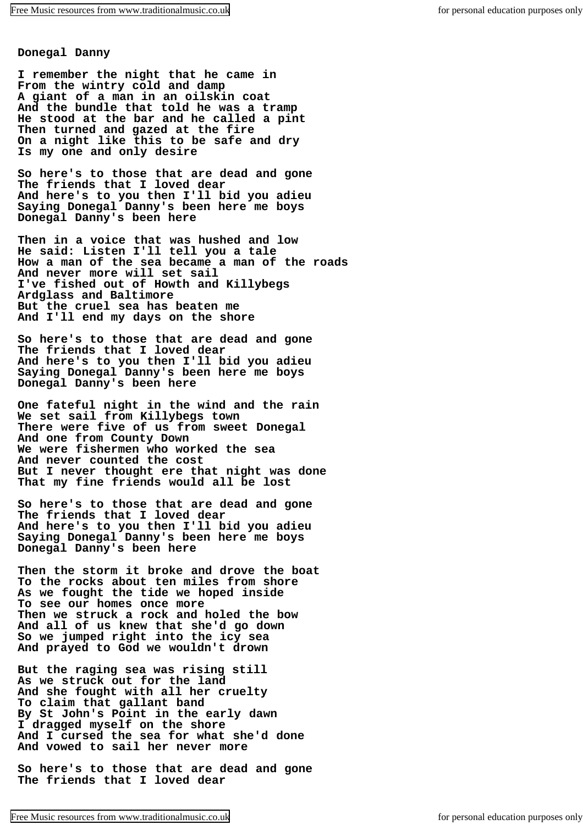**Donegal Danny**

**I remember the night that he came in From the wintry cold and damp A giant of a man in an oilskin coat And the bundle that told he was a tramp He stood at the bar and he called a pint Then turned and gazed at the fire On a night like this to be safe and dry Is my one and only desire**

**So here's to those that are dead and gone The friends that I loved dear And here's to you then I'll bid you adieu Saying Donegal Danny's been here me boys Donegal Danny's been here**

**Then in a voice that was hushed and low He said: Listen I'll tell you a tale How a man of the sea became a man of the roads And never more will set sail I've fished out of Howth and Killybegs Ardglass and Baltimore But the cruel sea has beaten me And I'll end my days on the shore**

**So here's to those that are dead and gone The friends that I loved dear And here's to you then I'll bid you adieu Saying Donegal Danny's been here me boys Donegal Danny's been here**

**One fateful night in the wind and the rain We set sail from Killybegs town There were five of us from sweet Donegal And one from County Down We were fishermen who worked the sea And never counted the cost But I never thought ere that night was done That my fine friends would all be lost**

**So here's to those that are dead and gone The friends that I loved dear And here's to you then I'll bid you adieu Saying Donegal Danny's been here me boys Donegal Danny's been here**

**Then the storm it broke and drove the boat To the rocks about ten miles from shore As we fought the tide we hoped inside To see our homes once more Then we struck a rock and holed the bow And all of us knew that she'd go down So we jumped right into the icy sea And prayed to God we wouldn't drown**

**But the raging sea was rising still As we struck out for the land And she fought with all her cruelty To claim that gallant band By St John's Point in the early dawn I dragged myself on the shore And I cursed the sea for what she'd done And vowed to sail her never more**

**So here's to those that are dead and gone The friends that I loved dear**